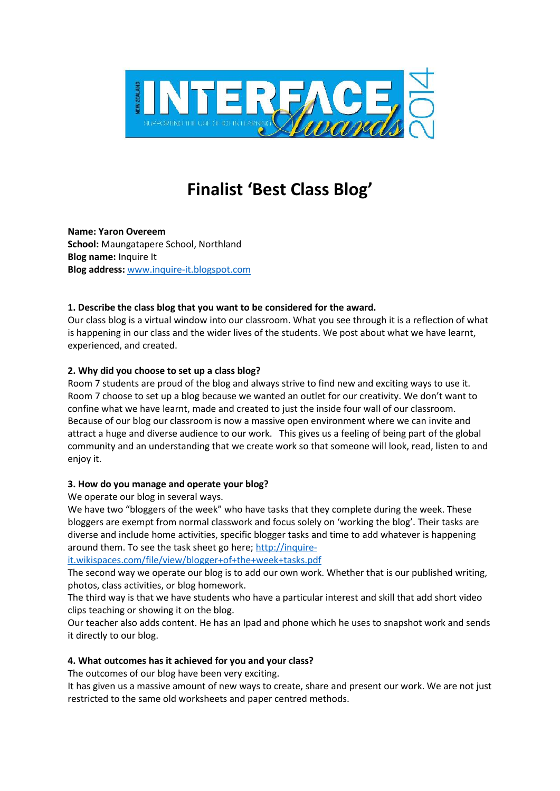

# **Finalist 'Best Class Blog'**

**Name: Yaron Overeem School:** Maungatapere School, Northland **Blog name:** Inquire It **Blog address:** www.inquire-it.blogspot.com

#### **1. Describe the class blog that you want to be considered for the award.**

Our class blog is a virtual window into our classroom. What you see through it is a reflection of what is happening in our class and the wider lives of the students. We post about what we have learnt, experienced, and created.

## **2. Why did you choose to set up a class blog?**

Room 7 students are proud of the blog and always strive to find new and exciting ways to use it. Room 7 choose to set up a blog because we wanted an outlet for our creativity. We don't want to confine what we have learnt, made and created to just the inside four wall of our classroom. Because of our blog our classroom is now a massive open environment where we can invite and attract a huge and diverse audience to our work. This gives us a feeling of being part of the global community and an understanding that we create work so that someone will look, read, listen to and enjoy it.

#### **3. How do you manage and operate your blog?**

We operate our blog in several ways.

We have two "bloggers of the week" who have tasks that they complete during the week. These bloggers are exempt from normal classwork and focus solely on 'working the blog'. Their tasks are diverse and include home activities, specific blogger tasks and time to add whatever is happening around them. To see the task sheet go here; http://inquire-

it.wikispaces.com/file/view/blogger+of+the+week+tasks.pdf

The second way we operate our blog is to add our own work. Whether that is our published writing, photos, class activities, or blog homework.

The third way is that we have students who have a particular interest and skill that add short video clips teaching or showing it on the blog.

Our teacher also adds content. He has an Ipad and phone which he uses to snapshot work and sends it directly to our blog.

## **4. What outcomes has it achieved for you and your class?**

The outcomes of our blog have been very exciting.

It has given us a massive amount of new ways to create, share and present our work. We are not just restricted to the same old worksheets and paper centred methods.